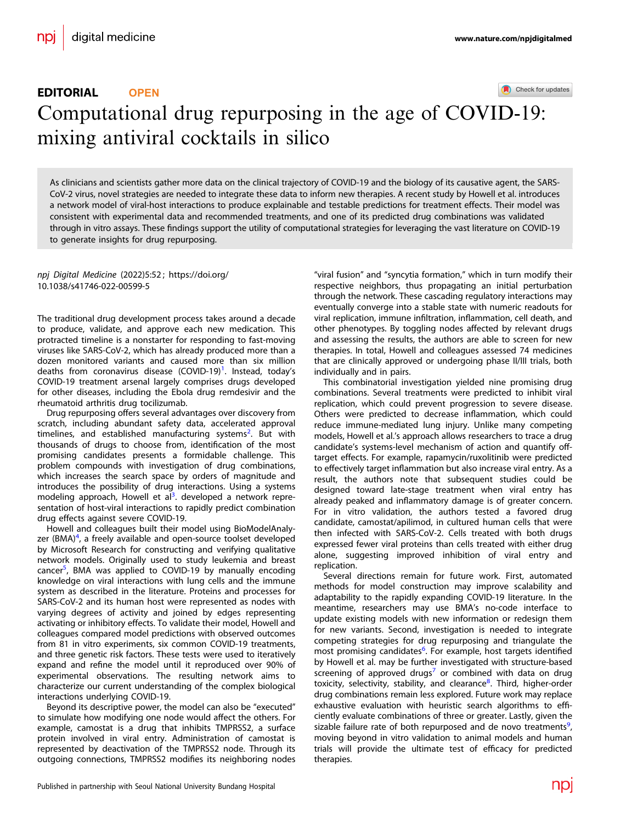### Check for updates

# EDITORIAL **OPEN** Computational drug repurposing in the age of COVI[D](http://crossmark.crossref.org/dialog/?doi=10.1038/s41746-022-00599-5&domain=pdf)-19: mixing antiviral cocktails in silico

As clinicians and scientists gather more data on the clinical trajectory of COVID-19 and the biology of its causative agent, the SARS-CoV-2 virus, novel strategies are needed to integrate these data to inform new therapies. A recent study by Howell et al. introduces a network model of viral-host interactions to produce explainable and testable predictions for treatment effects. Their model was consistent with experimental data and recommended treatments, and one of its predicted drug combinations was validated through in vitro assays. These findings support the utility of computational strategies for leveraging the vast literature on COVID-19 to generate insights for drug repurposing.

npj Digital Medicine (2022) 5:52 ; https://doi.org/ [10.1038/s41746-022-00599-5](https://doi.org/10.1038/s41746-022-00599-5)

The traditional drug development process takes around a decade to produce, validate, and approve each new medication. This protracted timeline is a nonstarter for responding to fast-moving viruses like SARS-CoV-2, which has already produced more than a dozen monitored variants and caused more than six million deaths from coronavirus disease (COVID-[1](#page-1-0)9)<sup>1</sup>. Instead, today's COVID-19 treatment arsenal largely comprises drugs developed for other diseases, including the Ebola drug remdesivir and the rheumatoid arthritis drug tocilizumab.

Drug repurposing offers several advantages over discovery from scratch, including abundant safety data, accelerated approval timelines, and established manufacturing systems<sup>[2](#page-1-0)</sup>. But with thousands of drugs to choose from, identification of the most promising candidates presents a formidable challenge. This problem compounds with investigation of drug combinations, which increases the search space by orders of magnitude and introduces the possibility of drug interactions. Using a systems modeling approach, Howell et al<sup>[3](#page-1-0)</sup>. developed a network representation of host-viral interactions to rapidly predict combination drug effects against severe COVID-19.

Howell and colleagues built their model using BioModelAnaly-zer (BMA)<sup>[4](#page-1-0)</sup>, a freely available and open-source toolset developed by Microsoft Research for constructing and verifying qualitative network models. Originally used to study leukemia and breast cancer<sup>5</sup>, BMA was applied to COVID-19 by manually encoding knowledge on viral interactions with lung cells and the immune system as described in the literature. Proteins and processes for SARS-CoV-2 and its human host were represented as nodes with varying degrees of activity and joined by edges representing activating or inhibitory effects. To validate their model, Howell and colleagues compared model predictions with observed outcomes from 81 in vitro experiments, six common COVID-19 treatments, and three genetic risk factors. These tests were used to iteratively expand and refine the model until it reproduced over 90% of experimental observations. The resulting network aims to characterize our current understanding of the complex biological interactions underlying COVID-19.

Beyond its descriptive power, the model can also be "executed" to simulate how modifying one node would affect the others. For example, camostat is a drug that inhibits TMPRSS2, a surface protein involved in viral entry. Administration of camostat is represented by deactivation of the TMPRSS2 node. Through its outgoing connections, TMPRSS2 modifies its neighboring nodes "viral fusion" and "syncytia formation," which in turn modify their respective neighbors, thus propagating an initial perturbation through the network. These cascading regulatory interactions may eventually converge into a stable state with numeric readouts for viral replication, immune infiltration, inflammation, cell death, and other phenotypes. By toggling nodes affected by relevant drugs and assessing the results, the authors are able to screen for new therapies. In total, Howell and colleagues assessed 74 medicines that are clinically approved or undergoing phase II/III trials, both individually and in pairs.

This combinatorial investigation yielded nine promising drug combinations. Several treatments were predicted to inhibit viral replication, which could prevent progression to severe disease. Others were predicted to decrease inflammation, which could reduce immune-mediated lung injury. Unlike many competing models, Howell et al.'s approach allows researchers to trace a drug candidate's systems-level mechanism of action and quantify offtarget effects. For example, rapamycin/ruxolitinib were predicted to effectively target inflammation but also increase viral entry. As a result, the authors note that subsequent studies could be designed toward late-stage treatment when viral entry has already peaked and inflammatory damage is of greater concern. For in vitro validation, the authors tested a favored drug candidate, camostat/apilimod, in cultured human cells that were then infected with SARS-CoV-2. Cells treated with both drugs expressed fewer viral proteins than cells treated with either drug alone, suggesting improved inhibition of viral entry and replication.

Several directions remain for future work. First, automated methods for model construction may improve scalability and adaptability to the rapidly expanding COVID-19 literature. In the meantime, researchers may use BMA's no-code interface to update existing models with new information or redesign them for new variants. Second, investigation is needed to integrate competing strategies for drug repurposing and triangulate the most promising candidates<sup>6</sup>. For example, host targets identified by Howell et al. may be further investigated with structure-based screening of approved drugs<sup>[7](#page-1-0)</sup> or combined with data on drug toxicity, selectivity, stability, and clearance<sup>[8](#page-1-0)</sup>. Third, higher-order drug combinations remain less explored. Future work may replace exhaustive evaluation with heuristic search algorithms to efficiently evaluate combinations of three or greater. Lastly, given the sizable failure rate of both repurposed and de novo treatments<sup>[9](#page-1-0)</sup>, , moving beyond in vitro validation to animal models and human trials will provide the ultimate test of efficacy for predicted therapies.